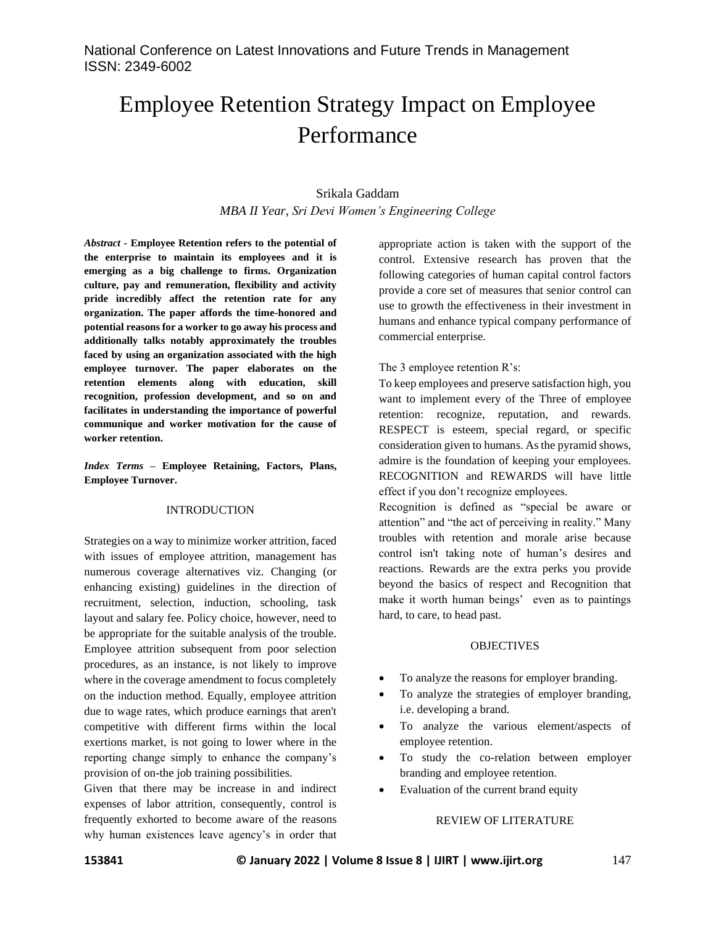# Employee Retention Strategy Impact on Employee Performance

# Srikala Gaddam *MBA II Year, Sri Devi Women's Engineering College*

*Abstract -* **Employee Retention refers to the potential of the enterprise to maintain its employees and it is emerging as a big challenge to firms. Organization culture, pay and remuneration, flexibility and activity pride incredibly affect the retention rate for any organization. The paper affords the time-honored and potential reasons for a worker to go away his process and additionally talks notably approximately the troubles faced by using an organization associated with the high employee turnover. The paper elaborates on the retention elements along with education, skill recognition, profession development, and so on and facilitates in understanding the importance of powerful communique and worker motivation for the cause of worker retention.**

*Index Terms –* **Employee Retaining, Factors, Plans, Employee Turnover.**

#### INTRODUCTION

Strategies on a way to minimize worker attrition, faced with issues of employee attrition, management has numerous coverage alternatives viz. Changing (or enhancing existing) guidelines in the direction of recruitment, selection, induction, schooling, task layout and salary fee. Policy choice, however, need to be appropriate for the suitable analysis of the trouble. Employee attrition subsequent from poor selection procedures, as an instance, is not likely to improve where in the coverage amendment to focus completely on the induction method. Equally, employee attrition due to wage rates, which produce earnings that aren't competitive with different firms within the local exertions market, is not going to lower where in the reporting change simply to enhance the company's provision of on-the job training possibilities.

Given that there may be increase in and indirect expenses of labor attrition, consequently, control is frequently exhorted to become aware of the reasons why human existences leave agency's in order that

appropriate action is taken with the support of the control. Extensive research has proven that the following categories of human capital control factors provide a core set of measures that senior control can use to growth the effectiveness in their investment in humans and enhance typical company performance of commercial enterprise.

## The 3 employee retention R's:

To keep employees and preserve satisfaction high, you want to implement every of the Three of employee retention: recognize, reputation, and rewards. RESPECT is esteem, special regard, or specific consideration given to humans. As the pyramid shows, admire is the foundation of keeping your employees. RECOGNITION and REWARDS will have little effect if you don't recognize employees.

Recognition is defined as "special be aware or attention" and "the act of perceiving in reality." Many troubles with retention and morale arise because control isn't taking note of human's desires and reactions. Rewards are the extra perks you provide beyond the basics of respect and Recognition that make it worth human beings' even as to paintings hard, to care, to head past.

#### **OBJECTIVES**

- To analyze the reasons for employer branding.
- To analyze the strategies of employer branding, i.e. developing a brand.
- To analyze the various element/aspects of employee retention.
- To study the co-relation between employer branding and employee retention.
- Evaluation of the current brand equity

#### REVIEW OF LITERATURE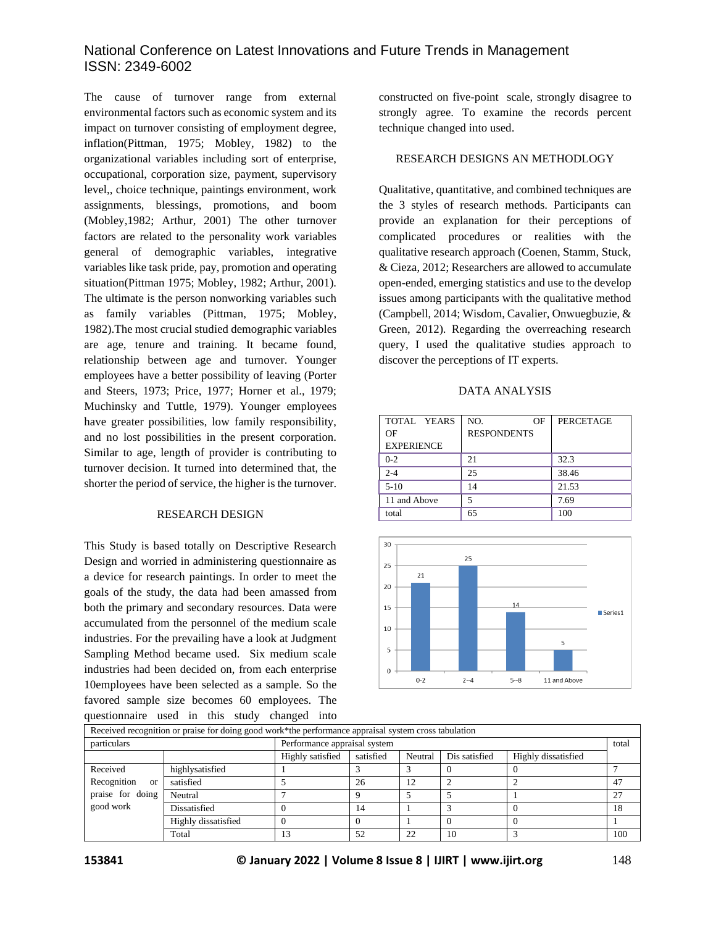# National Conference on Latest Innovations and Future Trends in Management ISSN: 2349-6002

The cause of turnover range from external environmental factors such as economic system and its impact on turnover consisting of employment degree, inflation(Pittman, 1975; Mobley, 1982) to the organizational variables including sort of enterprise, occupational, corporation size, payment, supervisory level,, choice technique, paintings environment, work assignments, blessings, promotions, and boom (Mobley,1982; Arthur, 2001) The other turnover factors are related to the personality work variables general of demographic variables, integrative variables like task pride, pay, promotion and operating situation(Pittman 1975; Mobley, 1982; Arthur, 2001). The ultimate is the person nonworking variables such as family variables (Pittman, 1975; Mobley, 1982).The most crucial studied demographic variables are age, tenure and training. It became found, relationship between age and turnover. Younger employees have a better possibility of leaving (Porter and Steers, 1973; Price, 1977; Horner et al., 1979; Muchinsky and Tuttle, 1979). Younger employees have greater possibilities, low family responsibility, and no lost possibilities in the present corporation. Similar to age, length of provider is contributing to turnover decision. It turned into determined that, the shorter the period of service, the higher is the turnover.

## RESEARCH DESIGN

This Study is based totally on Descriptive Research Design and worried in administering questionnaire as a device for research paintings. In order to meet the goals of the study, the data had been amassed from both the primary and secondary resources. Data were accumulated from the personnel of the medium scale industries. For the prevailing have a look at Judgment Sampling Method became used. Six medium scale industries had been decided on, from each enterprise 10employees have been selected as a sample. So the favored sample size becomes 60 employees. The questionnaire used in this study changed into

constructed on five-point scale, strongly disagree to strongly agree. To examine the records percent technique changed into used.

#### RESEARCH DESIGNS AN METHODLOGY

Qualitative, quantitative, and combined techniques are the 3 styles of research methods. Participants can provide an explanation for their perceptions of complicated procedures or realities with the qualitative research approach (Coenen, Stamm, Stuck, & Cieza, 2012; Researchers are allowed to accumulate open-ended, emerging statistics and use to the develop issues among participants with the qualitative method (Campbell, 2014; Wisdom, Cavalier, Onwuegbuzie, & Green, 2012). Regarding the overreaching research query, I used the qualitative studies approach to discover the perceptions of IT experts.

#### DATA ANALYSIS

| TOTAL YEARS       | NO.<br>ΟF          | <b>PERCETAGE</b> |
|-------------------|--------------------|------------------|
| OF                | <b>RESPONDENTS</b> |                  |
| <b>EXPERIENCE</b> |                    |                  |
| $0 - 2$           | 21                 | 32.3             |
| $2 - 4$           | 25                 | 38.46            |
| $5-10$            | 14                 | 21.53            |
| 11 and Above      |                    | 7.69             |
| total             | 65                 | 100              |



|                              | Received recognition or praise for doing good work*the performance appraisal system cross tabulation |                              |           |         |               |                     |       |  |
|------------------------------|------------------------------------------------------------------------------------------------------|------------------------------|-----------|---------|---------------|---------------------|-------|--|
| particulars                  |                                                                                                      | Performance appraisal system |           |         |               |                     | total |  |
|                              |                                                                                                      | Highly satisfied             | satisfied | Neutral | Dis satisfied | Highly dissatisfied |       |  |
| Received                     | highlysatisfied                                                                                      |                              |           |         |               |                     |       |  |
| Recognition<br><sub>or</sub> | satisfied                                                                                            |                              | 26        | 12      |               |                     | 47    |  |
| praise for doing             | Neutral                                                                                              |                              |           |         |               |                     | 27    |  |
| good work                    | Dissatisfied                                                                                         |                              | 14        |         |               |                     | 18    |  |
|                              | Highly dissatisfied                                                                                  |                              |           |         |               |                     |       |  |
|                              | Total                                                                                                |                              | 52        | 22      | 10            |                     | 100   |  |